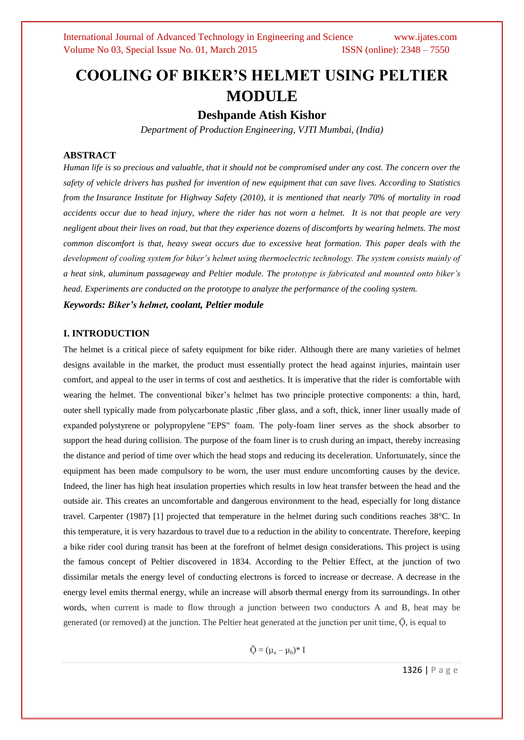## **COOLING OF BIKER'S HELMET USING PELTIER MODULE**

**Deshpande Atish Kishor**

*Department of Production Engineering, VJTI Mumbai, (India)*

#### **ABSTRACT**

*Human life is so precious and valuable, that it should not be compromised under any cost. The concern over the safety of vehicle drivers has pushed for invention of new equipment that can save lives. According to Statistics from the Insurance Institute for Highway Safety (2010), it is mentioned that nearly 70% of mortality in road accidents occur due to head injury, where the rider has not worn a helmet. It is not that people are very negligent about their lives on road, but that they experience dozens of discomforts by wearing helmets. The most common discomfort is that, heavy sweat occurs due to excessive heat formation. This paper deals with the development of cooling system for biker's helmet using thermoelectric technology. The system consists mainly of a heat sink, aluminum passageway and Peltier module. The prototype is fabricated and mounted onto biker's head. Experiments are conducted on the prototype to analyze the performance of the cooling system.*

*Keywords: Biker's helmet, coolant, Peltier module*

#### **I. INTRODUCTION**

The helmet is a critical piece of safety equipment for bike rider. Although there are many varieties of helmet designs available in the market, the product must essentially protect the head against injuries, maintain user comfort, and appeal to the user in terms of cost and aesthetics. It is imperative that the rider is comfortable with wearing the helmet. The conventional biker's helmet has two principle protective components: a thin, hard, outer shell typically made from polycarbonate plastic ,fiber glass, and a soft, thick, inner liner usually made of expanded polystyrene or polypropylene "EPS" foam. The poly-foam liner serves as the shock absorber to support the head during collision. The purpose of the foam liner is to crush during an impact, thereby increasing the distance and period of time over which the head stops and reducing its deceleration. Unfortunately, since the equipment has been made compulsory to be worn, the user must endure uncomforting causes by the device. Indeed, the liner has high heat insulation properties which results in low heat transfer between the head and the outside air. This creates an uncomfortable and dangerous environment to the head, especially for long distance travel. Carpenter (1987) [1] projected that temperature in the helmet during such conditions reaches 38°C. In this temperature, it is very hazardous to travel due to a reduction in the ability to concentrate. Therefore, keeping a bike rider cool during transit has been at the forefront of helmet design considerations. This project is using the famous concept of Peltier discovered in 1834. According to the Peltier Effect, at the junction of two dissimilar metals the energy level of conducting electrons is forced to increase or decrease. A decrease in the energy level emits thermal energy, while an increase will absorb thermal energy from its surroundings. In other words, when current is made to flow through a junction between two conductors A and B, heat may be generated (or removed) at the junction. The Peltier heat generated at the junction per unit time,  $\bar{Q}$ , is equal to

 $\bar{O} = (\mu_a - \mu_b)^* I$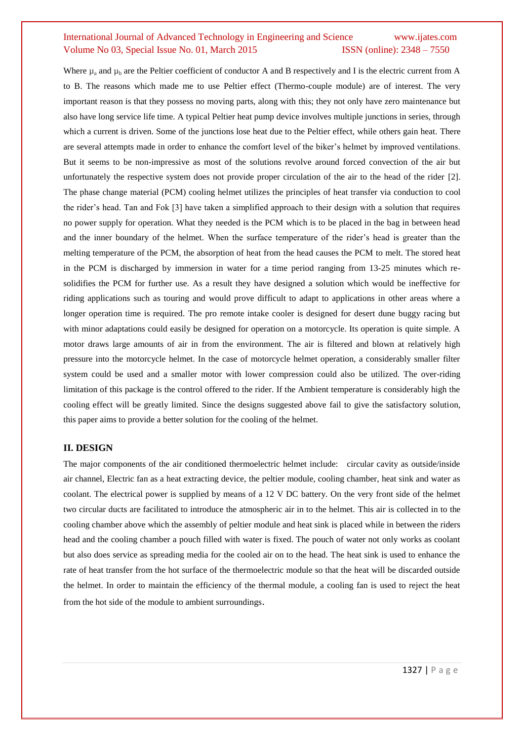## International Journal of Advanced Technology in Engineering and Science www.ijates.com Volume No 03, Special Issue No. 01, March 2015 ISSN (online): 2348 – 7550

Where  $\mu_a$  and  $\mu_b$  are the Peltier coefficient of conductor A and B respectively and I is the electric current from A to B. The reasons which made me to use Peltier effect (Thermo-couple module) are of interest. The very important reason is that they possess no moving parts, along with this; they not only have zero maintenance but also have long service life time. A typical Peltier heat pump device involves multiple junctions in series, through which a current is driven. Some of the junctions lose heat due to the Peltier effect, while others gain heat. There are several attempts made in order to enhance the comfort level of the biker's helmet by improved ventilations. But it seems to be non-impressive as most of the solutions revolve around forced convection of the air but unfortunately the respective system does not provide proper circulation of the air to the head of the rider [2]. The phase change material (PCM) cooling helmet utilizes the principles of heat transfer via conduction to cool the rider's head. Tan and Fok [3] have taken a simplified approach to their design with a solution that requires no power supply for operation. What they needed is the PCM which is to be placed in the bag in between head and the inner boundary of the helmet. When the surface temperature of the rider's head is greater than the melting temperature of the PCM, the absorption of heat from the head causes the PCM to melt. The stored heat in the PCM is discharged by immersion in water for a time period ranging from 13-25 minutes which resolidifies the PCM for further use. As a result they have designed a solution which would be ineffective for riding applications such as touring and would prove difficult to adapt to applications in other areas where a longer operation time is required. The pro remote intake cooler is designed for desert dune buggy racing but with minor adaptations could easily be designed for operation on a motorcycle. Its operation is quite simple. A motor draws large amounts of air in from the environment. The air is filtered and blown at relatively high pressure into the motorcycle helmet. In the case of motorcycle helmet operation, a considerably smaller filter system could be used and a smaller motor with lower compression could also be utilized. The over-riding limitation of this package is the control offered to the rider. If the Ambient temperature is considerably high the cooling effect will be greatly limited. Since the designs suggested above fail to give the satisfactory solution, this paper aims to provide a better solution for the cooling of the helmet.

#### **II. DESIGN**

The major components of the air conditioned thermoelectric helmet include: circular cavity as outside/inside air channel, Electric fan as a heat extracting device, the peltier module, cooling chamber, heat sink and water as coolant. The electrical power is supplied by means of a 12 V DC battery. On the very front side of the helmet two circular ducts are facilitated to introduce the atmospheric air in to the helmet. This air is collected in to the cooling chamber above which the assembly of peltier module and heat sink is placed while in between the riders head and the cooling chamber a pouch filled with water is fixed. The pouch of water not only works as coolant but also does service as spreading media for the cooled air on to the head. The heat sink is used to enhance the rate of heat transfer from the hot surface of the thermoelectric module so that the heat will be discarded outside the helmet. In order to maintain the efficiency of the thermal module, a cooling fan is used to reject the heat from the hot side of the module to ambient surroundings.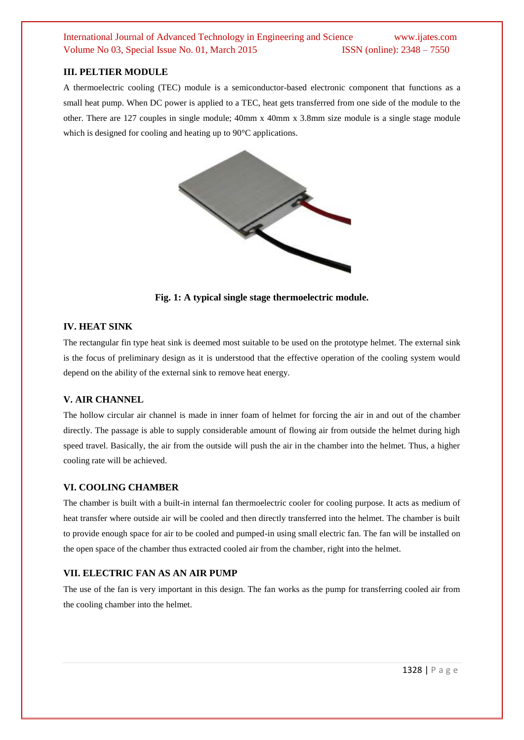## International Journal of Advanced Technology in Engineering and Science www.ijates.com Volume No 03, Special Issue No. 01, March 2015 **ISSN** (online): 2348 – 7550

#### **III. PELTIER MODULE**

A thermoelectric cooling (TEC) module is a semiconductor-based electronic component that functions as a small heat pump. When DC power is applied to a TEC, heat gets transferred from one side of the module to the other. There are 127 couples in single module; 40mm x 40mm x 3.8mm size module is a single stage module which is designed for cooling and heating up to 90<sup>o</sup>C applications.



**Fig. 1: A typical single stage thermoelectric module.**

#### **IV. HEAT SINK**

The rectangular fin type heat sink is deemed most suitable to be used on the prototype helmet. The external sink is the focus of preliminary design as it is understood that the effective operation of the cooling system would depend on the ability of the external sink to remove heat energy.

#### **V. AIR CHANNEL**

The hollow circular air channel is made in inner foam of helmet for forcing the air in and out of the chamber directly. The passage is able to supply considerable amount of flowing air from outside the helmet during high speed travel. Basically, the air from the outside will push the air in the chamber into the helmet. Thus, a higher cooling rate will be achieved.

#### **VI. COOLING CHAMBER**

The chamber is built with a built-in internal fan thermoelectric cooler for cooling purpose. It acts as medium of heat transfer where outside air will be cooled and then directly transferred into the helmet. The chamber is built to provide enough space for air to be cooled and pumped-in using small electric fan. The fan will be installed on the open space of the chamber thus extracted cooled air from the chamber, right into the helmet.

#### **VII. ELECTRIC FAN AS AN AIR PUMP**

The use of the fan is very important in this design. The fan works as the pump for transferring cooled air from the cooling chamber into the helmet.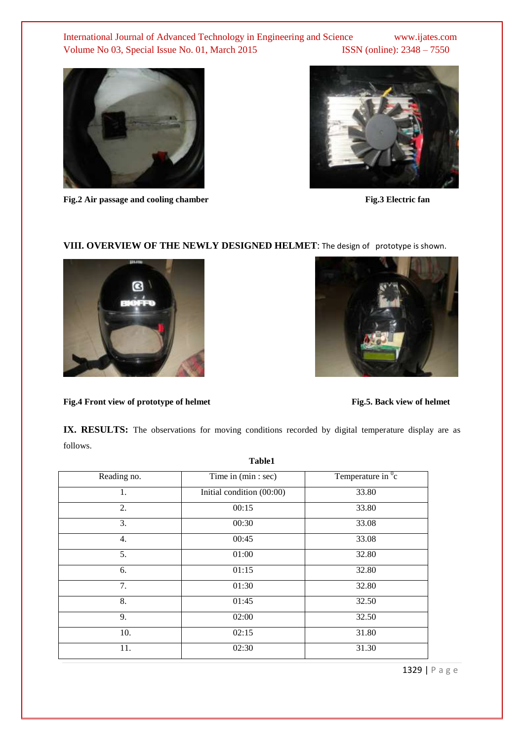## International Journal of Advanced Technology in Engineering and Science www.ijates.com Volume No 03, Special Issue No. 01, March 2015 ISSN (online): 2348 - 7550



Fig.2 Air passage and cooling chamber Fig.3 Electric fan



# **VIII. OVERVIEW OF THE NEWLY DESIGNED HELMET**: The design of prototype is shown.





Fig.4 Front view of prototype of helmet Fig.5. Back view of helmet

IX. RESULTS: The observations for moving conditions recorded by digital temperature display are as follows.

| Reading no. | Time in (min : sec)       | Temperature in $\mathrm{^{0}c}$ |
|-------------|---------------------------|---------------------------------|
| 1.          | Initial condition (00:00) | 33.80                           |
| 2.          | 00:15                     | 33.80                           |
| 3.          | 00:30                     | 33.08                           |
| 4.          | 00:45                     | 33.08                           |
| 5.          | 01:00                     | 32.80                           |
| 6.          | 01:15                     | 32.80                           |
| 7.          | 01:30                     | 32.80                           |
| 8.          | 01:45                     | 32.50                           |
| 9.          | 02:00                     | 32.50                           |
| 10.         | 02:15                     | 31.80                           |
| 11.         | 02:30                     | 31.30                           |
|             |                           |                                 |

**Table1**